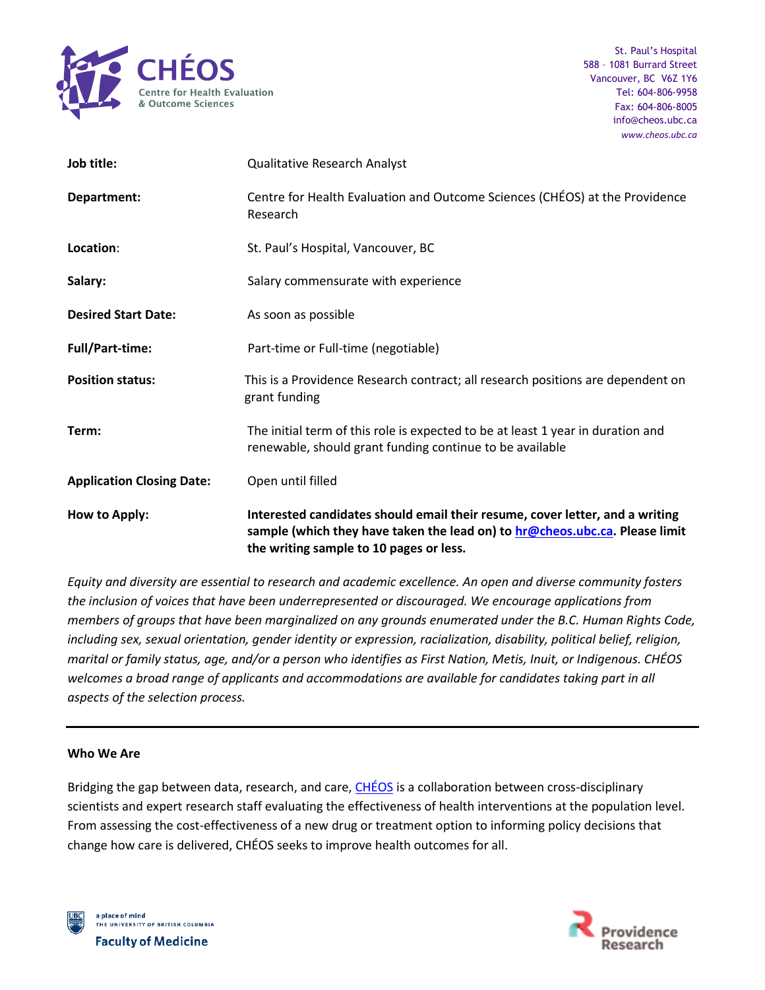

| Job title:                       | <b>Qualitative Research Analyst</b>                                                                                                                                                                    |
|----------------------------------|--------------------------------------------------------------------------------------------------------------------------------------------------------------------------------------------------------|
| Department:                      | Centre for Health Evaluation and Outcome Sciences (CHÉOS) at the Providence<br>Research                                                                                                                |
| Location:                        | St. Paul's Hospital, Vancouver, BC                                                                                                                                                                     |
| Salary:                          | Salary commensurate with experience                                                                                                                                                                    |
| <b>Desired Start Date:</b>       | As soon as possible                                                                                                                                                                                    |
| <b>Full/Part-time:</b>           | Part-time or Full-time (negotiable)                                                                                                                                                                    |
| <b>Position status:</b>          | This is a Providence Research contract; all research positions are dependent on<br>grant funding                                                                                                       |
| Term:                            | The initial term of this role is expected to be at least 1 year in duration and<br>renewable, should grant funding continue to be available                                                            |
| <b>Application Closing Date:</b> | Open until filled                                                                                                                                                                                      |
| How to Apply:                    | Interested candidates should email their resume, cover letter, and a writing<br>sample (which they have taken the lead on) to hr@cheos.ubc.ca. Please limit<br>the writing sample to 10 pages or less. |

*Equity and diversity are essential to research and academic excellence. An open and diverse community fosters the inclusion of voices that have been underrepresented or discouraged. We encourage applications from members of groups that have been marginalized on any grounds enumerated under the B.C. Human Rights Code, including sex, sexual orientation, gender identity or expression, racialization, disability, political belief, religion, marital or family status, age, and/or a person who identifies as First Nation, Metis, Inuit, or Indigenous. CHÉOS welcomes a broad range of applicants and accommodations are available for candidates taking part in all aspects of the selection process.*

## **Who We Are**

Bridging the gap between data, research, and care, [CHÉOS](https://www.cheos.ubc.ca/) is a collaboration between cross-disciplinary scientists and expert research staff evaluating the effectiveness of health interventions at the population level. From assessing the cost-effectiveness of a new drug or treatment option to informing policy decisions that change how care is delivered, CHÉOS seeks to improve health outcomes for all.



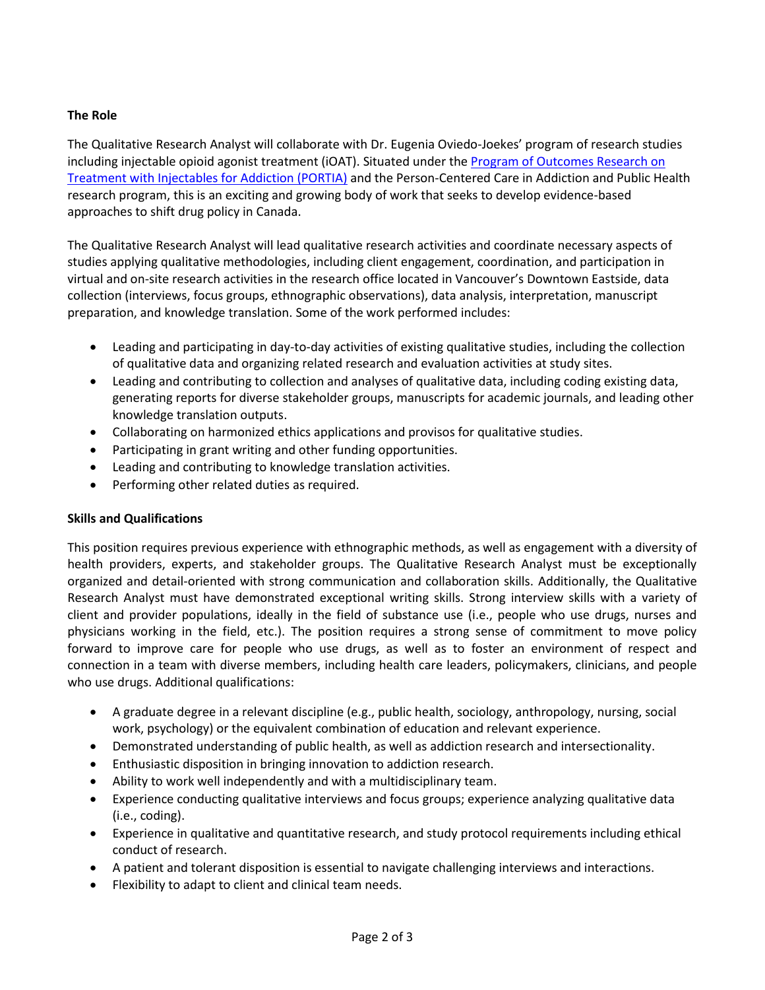## **The Role**

The Qualitative Research Analyst will collaborate with Dr. Eugenia Oviedo-Joekes' program of research studies including injectable opioid agonist treatment (iOAT). Situated under the [Program of Outcomes Research on](https://www.cheos.ubc.ca/portfolio/program-of-outcomes-research-on-treatment-with-injectables-for-addiction-portia/)  Treatment with [Injectables for Addiction \(PORTIA\)](https://www.cheos.ubc.ca/portfolio/program-of-outcomes-research-on-treatment-with-injectables-for-addiction-portia/) and the Person-Centered Care in Addiction and Public Health research program, this is an exciting and growing body of work that seeks to develop evidence-based approaches to shift drug policy in Canada.

The Qualitative Research Analyst will lead qualitative research activities and coordinate necessary aspects of studies applying qualitative methodologies, including client engagement, coordination, and participation in virtual and on-site research activities in the research office located in Vancouver's Downtown Eastside, data collection (interviews, focus groups, ethnographic observations), data analysis, interpretation, manuscript preparation, and knowledge translation. Some of the work performed includes:

- Leading and participating in day-to-day activities of existing qualitative studies, including the collection of qualitative data and organizing related research and evaluation activities at study sites.
- Leading and contributing to collection and analyses of qualitative data, including coding existing data, generating reports for diverse stakeholder groups, manuscripts for academic journals, and leading other knowledge translation outputs.
- Collaborating on harmonized ethics applications and provisos for qualitative studies.
- Participating in grant writing and other funding opportunities.
- Leading and contributing to knowledge translation activities.
- Performing other related duties as required.

## **Skills and Qualifications**

This position requires previous experience with ethnographic methods, as well as engagement with a diversity of health providers, experts, and stakeholder groups. The Qualitative Research Analyst must be exceptionally organized and detail-oriented with strong communication and collaboration skills. Additionally, the Qualitative Research Analyst must have demonstrated exceptional writing skills. Strong interview skills with a variety of client and provider populations, ideally in the field of substance use (i.e., people who use drugs, nurses and physicians working in the field, etc.). The position requires a strong sense of commitment to move policy forward to improve care for people who use drugs, as well as to foster an environment of respect and connection in a team with diverse members, including health care leaders, policymakers, clinicians, and people who use drugs. Additional qualifications:

- A graduate degree in a relevant discipline (e.g., public health, sociology, anthropology, nursing, social work, psychology) or the equivalent combination of education and relevant experience.
- Demonstrated understanding of public health, as well as addiction research and intersectionality.
- Enthusiastic disposition in bringing innovation to addiction research.
- Ability to work well independently and with a multidisciplinary team.
- Experience conducting qualitative interviews and focus groups; experience analyzing qualitative data (i.e., coding).
- Experience in qualitative and quantitative research, and study protocol requirements including ethical conduct of research.
- A patient and tolerant disposition is essential to navigate challenging interviews and interactions.
- Flexibility to adapt to client and clinical team needs.